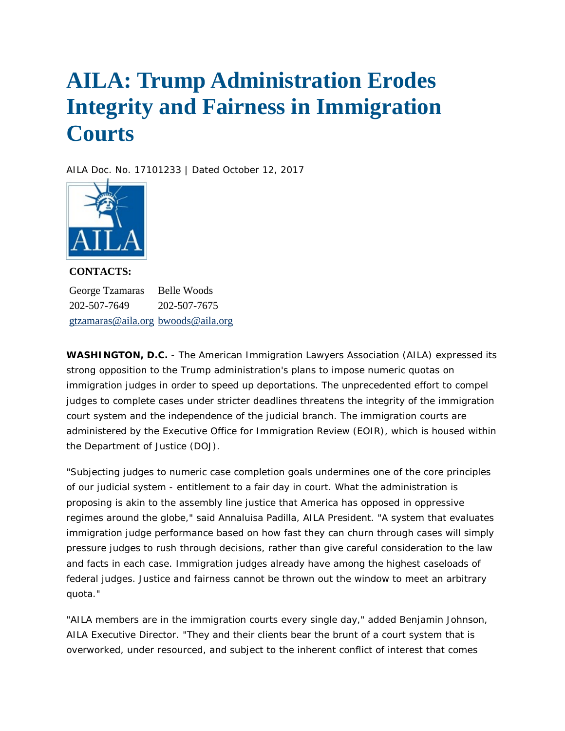## **AILA: Trump Administration Erodes Integrity and Fairness in Immigration Courts**

*AILA Doc. No. 17101233 | Dated October 12, 2017* 



**CONTACTS:**  George Tzamaras 202-507-7649 [gtzamaras@aila.org](mailto:gtzamaras@aila.org) [bwoods@aila.org](mailto:bwoods@aila.org) Belle Woods 202-507-7675

**WASHINGTON, D.C.** - The American Immigration Lawyers Association (AILA) expressed its strong opposition to the Trump administration's plans to impose numeric quotas on immigration judges in order to speed up deportations. The unprecedented effort to compel judges to complete cases under stricter deadlines threatens the integrity of the immigration court system and the independence of the judicial branch. The immigration courts are administered by the Executive Office for Immigration Review (EOIR), which is housed within the Department of Justice (DOJ).

"Subjecting judges to numeric case completion goals undermines one of the core principles of our judicial system - entitlement to a fair day in court. What the administration is proposing is akin to the assembly line justice that America has opposed in oppressive regimes around the globe," said Annaluisa Padilla, AILA President. "A system that evaluates immigration judge performance based on how fast they can churn through cases will simply pressure judges to rush through decisions, rather than give careful consideration to the law and facts in each case. Immigration judges already have among the highest caseloads of federal judges. Justice and fairness cannot be thrown out the window to meet an arbitrary quota."

"AILA members are in the immigration courts every single day," added Benjamin Johnson, AILA Executive Director. "They and their clients bear the brunt of a court system that is overworked, under resourced, and subject to the inherent conflict of interest that comes